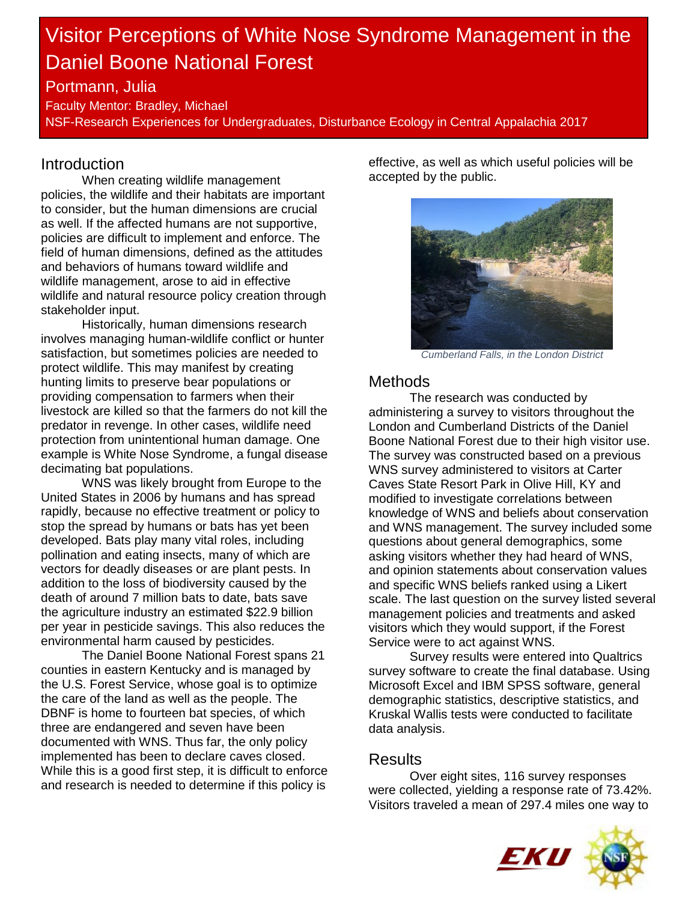# Visitor Perceptions of White Nose Syndrome Management in the Daniel Boone National Forest

## Portmann, Julia

Faculty Mentor: Bradley, Michael NSF-Research Experiences for Undergraduates, Disturbance Ecology in Central Appalachia 2017

## Introduction

When creating wildlife management policies, the wildlife and their habitats are important to consider, but the human dimensions are crucial as well. If the affected humans are not supportive, policies are difficult to implement and enforce. The field of human dimensions, defined as the attitudes and behaviors of humans toward wildlife and wildlife management, arose to aid in effective wildlife and natural resource policy creation through stakeholder input.

Historically, human dimensions research involves managing human-wildlife conflict or hunter satisfaction, but sometimes policies are needed to protect wildlife. This may manifest by creating hunting limits to preserve bear populations or providing compensation to farmers when their livestock are killed so that the farmers do not kill the predator in revenge. In other cases, wildlife need protection from unintentional human damage. One example is White Nose Syndrome, a fungal disease decimating bat populations.

WNS was likely brought from Europe to the United States in 2006 by humans and has spread rapidly, because no effective treatment or policy to stop the spread by humans or bats has yet been developed. Bats play many vital roles, including pollination and eating insects, many of which are vectors for deadly diseases or are plant pests. In addition to the loss of biodiversity caused by the death of around 7 million bats to date, bats save the agriculture industry an estimated \$22.9 billion per year in pesticide savings. This also reduces the environmental harm caused by pesticides.

The Daniel Boone National Forest spans 21 counties in eastern Kentucky and is managed by the U.S. Forest Service, whose goal is to optimize the care of the land as well as the people. The DBNF is home to fourteen bat species, of which three are endangered and seven have been documented with WNS. Thus far, the only policy implemented has been to declare caves closed. While this is a good first step, it is difficult to enforce and research is needed to determine if this policy is

effective, as well as which useful policies will be accepted by the public.



*Cumberland Falls, in the London District*

### **Methods**

The research was conducted by administering a survey to visitors throughout the London and Cumberland Districts of the Daniel Boone National Forest due to their high visitor use. The survey was constructed based on a previous WNS survey administered to visitors at Carter Caves State Resort Park in Olive Hill, KY and modified to investigate correlations between knowledge of WNS and beliefs about conservation and WNS management. The survey included some questions about general demographics, some asking visitors whether they had heard of WNS, and opinion statements about conservation values and specific WNS beliefs ranked using a Likert scale. The last question on the survey listed several management policies and treatments and asked visitors which they would support, if the Forest Service were to act against WNS.

Survey results were entered into Qualtrics survey software to create the final database. Using Microsoft Excel and IBM SPSS software, general demographic statistics, descriptive statistics, and Kruskal Wallis tests were conducted to facilitate data analysis.

#### Results

Over eight sites, 116 survey responses were collected, yielding a response rate of 73.42%. Visitors traveled a mean of 297.4 miles one way to